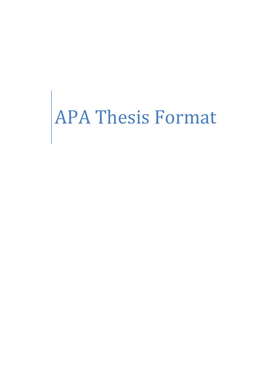# APA Thesis Format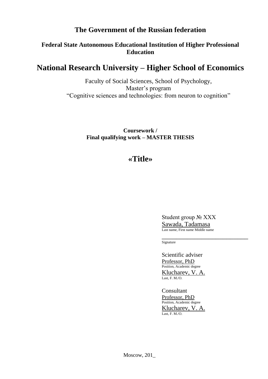# **The Government of the Russian federation**

# **Federal State Autonomous Educational Institution of Higher Professional Education**

# **National Research University – Higher School of Economics**

Faculty of Social Sciences, School of Psychology, Master's program "Cognitive sciences and technologies: from neuron to cognition"

> **Coursework / Final qualifying work – MASTER THESIS**

# **«Title»**

Student group № XXX Sawada, Tadamasa Last name, First name Middle name

\_\_\_\_\_\_\_\_\_\_\_\_\_\_\_\_\_\_\_\_\_\_\_\_ Signature

Scientific adviser Professor, PhD Position, Academic degree Klucharev, V. A. Last, F. M./O.

Consultant Professor, PhD Position, Academic degree Klucharev, V. A. Last, F. M./O.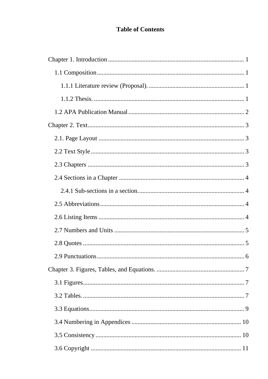# **Table of Contents**

| . 6 |
|-----|
|     |
|     |
|     |
|     |
|     |
|     |
|     |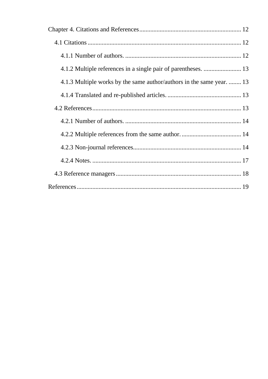| 4.1.3 Multiple works by the same author/authors in the same year.  13 |  |
|-----------------------------------------------------------------------|--|
|                                                                       |  |
|                                                                       |  |
|                                                                       |  |
|                                                                       |  |
|                                                                       |  |
|                                                                       |  |
|                                                                       |  |
|                                                                       |  |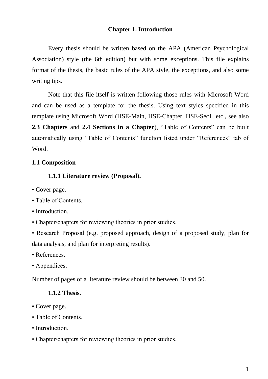## **Chapter 1. Introduction**

<span id="page-4-0"></span>Every thesis should be written based on the APA (American Psychological Association) style (the 6th edition) but with some exceptions. This file explains format of the thesis, the basic rules of the APA style, the exceptions, and also some writing tips.

Note that this file itself is written following those rules with Microsoft Word and can be used as a template for the thesis. Using text styles specified in this template using Microsoft Word (HSE-Main, HSE-Chapter, HSE-Sec1, etc., see also **2.3 Chapters** and **2.4 Sections in a Chapter**), "Table of Contents" can be built automatically using "Table of Contents" function listed under "References" tab of Word.

#### <span id="page-4-2"></span><span id="page-4-1"></span>**1.1 Composition**

#### **1.1.1 Literature review (Proposal).**

- Cover page.
- Table of Contents.
- Introduction.
- Chapter/chapters for reviewing theories in prior studies.
- Research Proposal (e.g. proposed approach, design of a proposed study, plan for data analysis, and plan for interpreting results).
- References.
- Appendices.

<span id="page-4-3"></span>Number of pages of a literature review should be between 30 and 50.

#### **1.1.2 Thesis.**

- Cover page.
- Table of Contents.
- Introduction.
- Chapter/chapters for reviewing theories in prior studies.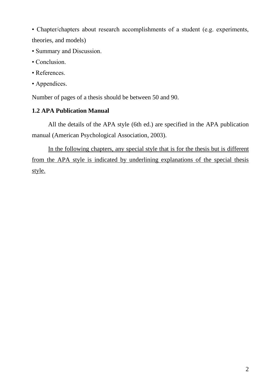• Chapter/chapters about research accomplishments of a student (e.g. experiments, theories, and models)

- Summary and Discussion.
- Conclusion.
- References.
- Appendices.

Number of pages of a thesis should be between 50 and 90.

# <span id="page-5-0"></span>**1.2 APA Publication Manual**

All the details of the APA style (6th ed.) are specified in the APA publication manual (American Psychological Association, 2003).

In the following chapters, any special style that is for the thesis but is different from the APA style is indicated by underlining explanations of the special thesis style.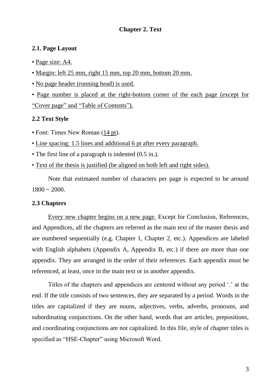## **Chapter 2. Text**

#### <span id="page-6-1"></span><span id="page-6-0"></span>**2.1. Page Layout**

- Page size: A4.
- Margin: left 25 mm, right 15 mm, top 20 mm, bottom 20 mm.
- No page header (running head) is used.

• Page number is placed at the right-bottom corner of the each page (except for "Cover page" and "Table of Contents").

#### <span id="page-6-2"></span>**2.2 Text Style**

- Font: Times New Roman (14 pt).
- Line spacing: 1.5 lines and additional 6 pt after every paragraph.
- The first line of a paragraph is indented (0.5 in.).
- Text of the thesis is justified (be aligned on both left and right sides).

Note that estimated number of characters per page is expected to be around  $1800 \sim 2000$ .

#### <span id="page-6-3"></span>**2.3 Chapters**

Every new chapter begins on a new page. Except for Conclusion, References, and Appendices, all the chapters are referred as the main text of the master thesis and are numbered sequentially (e.g. Chapter 1, Chapter 2, etc.). Appendices are labeled with English alphabets (Appendix A, Appendix B, etc.) if there are more than one appendix. They are arranged in the order of their references. Each appendix must be referenced, at least, once in the main text or in another appendix.

Titles of the chapters and appendices are centered without any period '.' at the end. If the title consists of two sentences, they are separated by a period. Words in the titles are capitalized if they are nouns, adjectives, verbs, adverbs, pronouns, and subordinating conjunctions. On the other hand, words that are articles, prepositions, and coordinating conjunctions are not capitalized. In this file, style of chapter titles is specified as "HSE-Chapter" using Microsoft Word.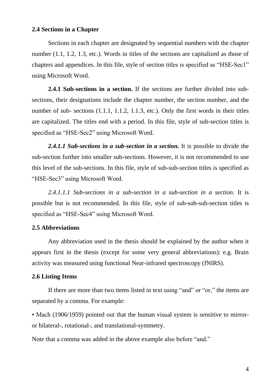#### <span id="page-7-0"></span>**2.4 Sections in a Chapter**

Sections in each chapter are designated by sequential numbers with the chapter number (1.1, 1.2, 1.3, etc.). Words in titles of the sections are capitalized as those of chapters and appendices. In this file, style of section titles is specified as "HSE-Sec1" using Microsoft Word.

<span id="page-7-1"></span>**2.4.1 Sub-sections in a section.** If the sections are further divided into subsections, their designations include the chapter number, the section number, and the number of sub- sections (1.1.1, 1.1.2, 1.1.3, etc.). Only the first words in their titles are capitalized. The titles end with a period. In this file, style of sub-section titles is specified as "HSE-Sec2" using Microsoft Word.

*2.4.1.1 Sub-sections in a sub-section in a section.* It is possible to divide the sub-section further into smaller sub-sections. However, it is not recommended to use this level of the sub-sections. In this file, style of sub-sub-section titles is specified as "HSE-Sec3" using Microsoft Word.

*2.4.1.1.1 Sub-sections in a sub-section in a sub-section in a section.* It is possible but is not recommended. In this file, style of sub-sub-sub-section titles is specified as "HSE-Sec4" using Microsoft Word.

#### <span id="page-7-2"></span>**2.5 Abbreviations**

Any abbreviation used in the thesis should be explained by the author when it appears first in the thesis (except for some very general abbreviations): e.g. Brain activity was measured using functional Near-infrared spectroscopy (fNIRS).

#### <span id="page-7-3"></span>**2.6 Listing Items**

If there are more than two items listed in text using "and" or "or," the items are separated by a comma. For example:

• Mach (1906/1959) pointed out that the human visual system is sensitive to mirroror bilateral-, rotational-, and translational-symmetry.

Note that a comma was added in the above example also before "and."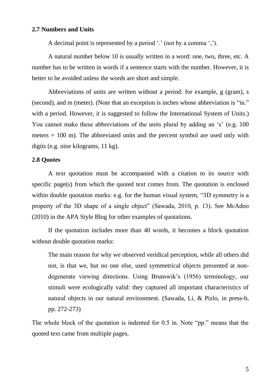#### <span id="page-8-0"></span>**2.7 Numbers and Units**

A decimal point is represented by a period '.' (not by a comma ',').

A natural number below 10 is usually written in a word: one, two, three, etc. A number has to be written in words if a sentence starts with the number. However, it is better to be avoided unless the words are short and simple.

Abbreviations of units are written without a period: for example, g (gram), s (second), and m (meter). (Note that an exception is inches whose abbreviation is "in." with a period. However, it is suggested to follow the International System of Units.) You cannot make these abbreviations of the units plural by adding an 's' (e.g. 100) meters  $= 100$  m). The abbreviated units and the percent symbol are used only with digits (e.g. nine kilograms, 11 kg).

#### <span id="page-8-1"></span>**2.8 Quotes**

A text quotation must be accompanied with a citation to its source with specific page(s) from which the quoted text comes from. The quotation is enclosed within double quotation marks: e.g. for the human visual system, "3D symmetry is a property of the 3D shape of a single object" (Sawada, 2010, p. 13). See McAdoo (2010) in the APA Style Blog for other examples of quotations.

If the quotation includes more than 40 words, it becomes a block quotation without double quotation marks:

The main reason for why we observed veridical perception, while all others did not, is that we, but no one else, used symmetrical objects presented at nondegenerate viewing directions. Using Brunswik's (1956) terminology, our stimuli were ecologically valid: they captured all important characteristics of natural objects in our natural environment. (Sawada, Li, & Pizlo, in press-b, pp. 272-273)

The whole block of the quotation is indented for 0.5 in. Note "pp." means that the quoted text came from multiple pages.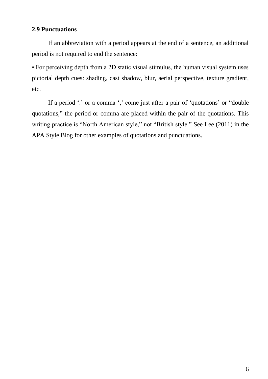# <span id="page-9-0"></span>**2.9 Punctuations**

If an abbreviation with a period appears at the end of a sentence, an additional period is not required to end the sentence:

• For perceiving depth from a 2D static visual stimulus, the human visual system uses pictorial depth cues: shading, cast shadow, blur, aerial perspective, texture gradient, etc.

If a period '.' or a comma ',' come just after a pair of 'quotations' or "double" quotations," the period or comma are placed within the pair of the quotations. This writing practice is "North American style," not "British style." See Lee (2011) in the APA Style Blog for other examples of quotations and punctuations.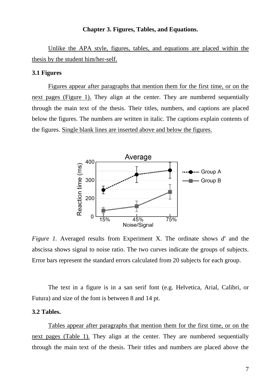#### **Chapter 3. Figures, Tables, and Equations.**

<span id="page-10-0"></span>Unlike the APA style, figures, tables, and equations are placed within the thesis by the student him/her-self.

#### <span id="page-10-1"></span>**3.1 Figures**

Figures appear after paragraphs that mention them for the first time, or on the next pages (Figure 1). They align at the center. They are numbered sequentially through the main text of the thesis. Their titles, numbers, and captions are placed below the figures. The numbers are written in italic. The captions explain contents of the figures. Single blank lines are inserted above and below the figures.



*Figure 1.* Averaged results from Experiment X. The ordinate shows d' and the abscissa shows signal to noise ratio. The two curves indicate the groups of subjects. Error bars represent the standard errors calculated from 20 subjects for each group.

The text in a figure is in a san serif font (e.g. Helvetica, Arial, Calibri, or Futura) and size of the font is between 8 and 14 pt.

#### <span id="page-10-2"></span>**3.2 Tables.**

Tables appear after paragraphs that mention them for the first time, or on the next pages (Table 1). They align at the center. They are numbered sequentially through the main text of the thesis. Their titles and numbers are placed above the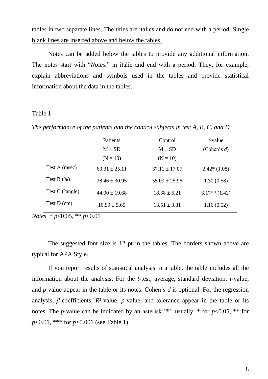tables in two separate lines. The titles are italics and do not end with a period. Single blank lines are inserted above and below the tables.

Notes can be added below the tables to provide any additional information. The notes start with "*Notes.*" in italic and end with a period. They, for example, explain abbreviations and symbols used in the tables and provide statistical information about the data in the tables.

#### Table 1

*The performance of the patients and the control subjects in test A, B, C, and D*

|                         | Patients          | Control           | <i>t</i> -value |
|-------------------------|-------------------|-------------------|-----------------|
|                         | $M \pm SD$        | $M \pm SD$        | (Cohen's $d$ )  |
|                         | $(N = 10)$        | $(N = 10)$        |                 |
| Test A (msec)           | $60.31 \pm 25.11$ | $37.11 \pm 17.07$ | $2.42*(1.08)$   |
| Test B $(\%)$           | $38.46 + 30.95$   | $55.09 \pm 25.96$ | 1.30(0.58)      |
| Test C $(^\circ$ angle) | $44.00 \pm 19.68$ | $18.38 \pm 6.21$  | $3.17**$ (1.42) |
| Test $D$ (cm)           | $10.99 \pm 5.65$  | $13.51 \pm 3.81$  | 1.16(0.52)      |

*Notes.* \* *p*<0.05, \*\* *p*<0.01

The suggested font size is 12 pt in the tables. The borders shown above are typical for APA Style.

If you report results of statistical analysis in a table, the table includes all the information about the analysis. For the *t*-test, average, standard deviation, *t*-value, and *p*-value appear in the table or its notes. Cohen's *d* is optional. For the regression analysis,  $\beta$ -coefficients,  $R^2$ -value,  $p$ -value, and tolerance appear in the table or its notes. The *p*-value can be indicated by an asterisk '\*': usually, \* for  $p<0.05$ , \*\* for *p*<0.01, \*\*\* for *p*<0.001 (see Table 1).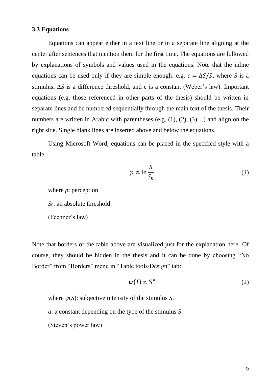#### <span id="page-12-0"></span>**3.3 Equations**

Equations can appear either in a text line or in a separate line aligning at the center after sentences that mention them for the first time. The equations are followed by explanations of symbols and values used in the equations. Note that the inline equations can be used only if they are simple enough: e.g.  $c = \Delta S/S$ , where *S* is a stimulus, Δ*S* is a difference threshold, and c is a constant (Weber's law). Important equations (e.g. those referenced in other parts of the thesis) should be written in separate lines and be numbered sequentially through the main text of the thesis. Their numbers are written in Arabic with parentheses (e.g.  $(1)$ ,  $(2)$ ,  $(3)$ ...) and align on the right side. Single blank lines are inserted above and below the equations.

Using Microsoft Word, equations can be placed in the specified style with a table:

$$
p \propto \ln \frac{S}{S_0} \tag{1}
$$

where *p*: perception *S*<sub>0</sub>: an absolute threshold (Fechner's law)

Note that borders of the table above are visualized just for the explanation here. Of course, they should be hidden in the thesis and it can be done by choosing "No Border" from "Borders" menu in "Table tools/Design" tab:

$$
\psi(I) \propto S^a \tag{2}
$$

where  $\psi(S)$ : subjective intensity of the stimulus *S*.

*a*: a constant depending on the type of the stimulus *S*.

(Steven's power law)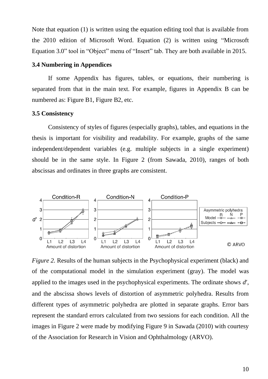Note that equation (1) is written using the equation editing tool that is available from the 2010 edition of Microsoft Word. Equation (2) is written using "Microsoft Equation 3.0" tool in "Object" menu of "Insert" tab. They are both available in 2015.

#### <span id="page-13-0"></span>**3.4 Numbering in Appendices**

If some Appendix has figures, tables, or equations, their numbering is separated from that in the main text. For example, figures in Appendix B can be numbered as: Figure B1, Figure B2, etc.

#### <span id="page-13-1"></span>**3.5 Consistency**

Consistency of styles of figures (especially graphs), tables, and equations in the thesis is important for visibility and readability. For example, graphs of the same independent/dependent variables (e.g. multiple subjects in a single experiment) should be in the same style. In Figure 2 (from Sawada, 2010), ranges of both abscissas and ordinates in three graphs are consistent.



*Figure 2.* Results of the human subjects in the Psychophysical experiment (black) and of the computational model in the simulation experiment (gray). The model was applied to the images used in the psychophysical experiments. The ordinate shows *d*′, and the abscissa shows levels of distortion of asymmetric polyhedra. Results from different types of asymmetric polyhedra are plotted in separate graphs. Error bars represent the standard errors calculated from two sessions for each condition. All the images in Figure 2 were made by modifying Figure 9 in Sawada (2010) with courtesy of the Association for Research in Vision and Ophthalmology (ARVO).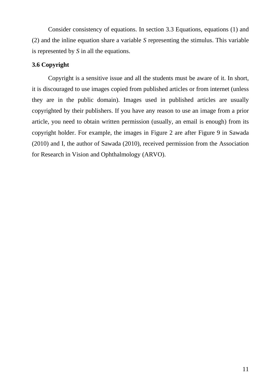Consider consistency of equations. In section 3.3 Equations, equations (1) and (2) and the inline equation share a variable *S* representing the stimulus. This variable is represented by *S* in all the equations.

# <span id="page-14-0"></span>**3.6 Copyright**

Copyright is a sensitive issue and all the students must be aware of it. In short, it is discouraged to use images copied from published articles or from internet (unless they are in the public domain). Images used in published articles are usually copyrighted by their publishers. If you have any reason to use an image from a prior article, you need to obtain written permission (usually, an email is enough) from its copyright holder. For example, the images in Figure 2 are after Figure 9 in Sawada (2010) and I, the author of Sawada (2010), received permission from the Association for Research in Vision and Ophthalmology (ARVO).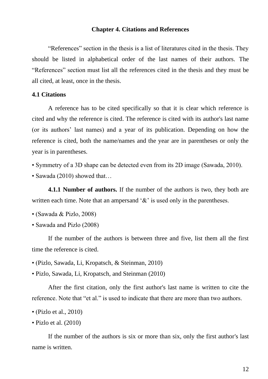#### **Chapter 4. Citations and References**

<span id="page-15-0"></span>"References" section in the thesis is a list of literatures cited in the thesis. They should be listed in alphabetical order of the last names of their authors. The "References" section must list all the references cited in the thesis and they must be all cited, at least, once in the thesis.

#### <span id="page-15-1"></span>**4.1 Citations**

A reference has to be cited specifically so that it is clear which reference is cited and why the reference is cited. The reference is cited with its author's last name (or its authors' last names) and a year of its publication. Depending on how the reference is cited, both the name/names and the year are in parentheses or only the year is in parentheses.

• Symmetry of a 3D shape can be detected even from its 2D image (Sawada, 2010).

• Sawada (2010) showed that...

<span id="page-15-2"></span>**4.1.1 Number of authors.** If the number of the authors is two, they both are written each time. Note that an ampersand '&' is used only in the parentheses.

- (Sawada & Pizlo, 2008)
- Sawada and Pizlo (2008)

If the number of the authors is between three and five, list them all the first time the reference is cited.

- (Pizlo, Sawada, Li, Kropatsch, & Steinman, 2010)
- Pizlo, Sawada, Li, Kropatsch, and Steinman (2010)

After the first citation, only the first author's last name is written to cite the reference. Note that "et al." is used to indicate that there are more than two authors.

• (Pizlo et al., 2010)

• Pizlo et al. (2010)

If the number of the authors is six or more than six, only the first author's last name is written.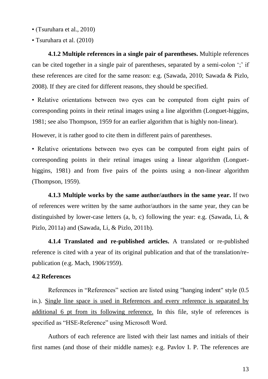- (Tsuruhara et al., 2010)
- Tsuruhara et al. (2010)

<span id="page-16-0"></span>**4.1.2 Multiple references in a single pair of parentheses.** Multiple references can be cited together in a single pair of parentheses, separated by a semi-colon ';' if these references are cited for the same reason: e.g. (Sawada, 2010; Sawada & Pizlo, 2008). If they are cited for different reasons, they should be specified.

• Relative orientations between two eyes can be computed from eight pairs of corresponding points in their retinal images using a line algorithm (Longuet-higgins, 1981; see also Thompson, 1959 for an earlier algorithm that is highly non-linear).

However, it is rather good to cite them in different pairs of parentheses.

• Relative orientations between two eyes can be computed from eight pairs of corresponding points in their retinal images using a linear algorithm (Longuethiggins, 1981) and from five pairs of the points using a non-linear algorithm (Thompson, 1959).

<span id="page-16-1"></span>**4.1.3 Multiple works by the same author/authors in the same year.** If two of references were written by the same author/authors in the same year, they can be distinguished by lower-case letters (a, b, c) following the year: e.g. (Sawada, Li, & Pizlo, 2011a) and (Sawada, Li, & Pizlo, 2011b).

<span id="page-16-2"></span>**4.1.4 Translated and re-published articles.** A translated or re-published reference is cited with a year of its original publication and that of the translation/republication (e.g. Mach, 1906/1959).

#### <span id="page-16-3"></span>**4.2 References**

References in "References" section are listed using "hanging indent" style (0.5 in.). Single line space is used in References and every reference is separated by additional 6 pt from its following reference. In this file, style of references is specified as "HSE-Reference" using Microsoft Word.

Authors of each reference are listed with their last names and initials of their first names (and those of their middle names): e.g. Pavlov I. P. The references are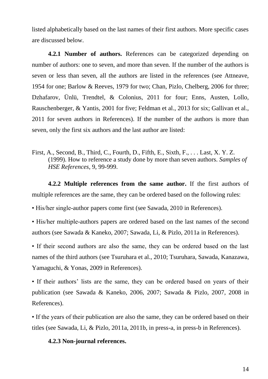listed alphabetically based on the last names of their first authors. More specific cases are discussed below.

<span id="page-17-0"></span>**4.2.1 Number of authors.** References can be categorized depending on number of authors: one to seven, and more than seven. If the number of the authors is seven or less than seven, all the authors are listed in the references (see Attneave, 1954 for one; Barlow & Reeves, 1979 for two; Chan, Pizlo, Chelberg, 2006 for three; Dzhafarov, Ünlü, Trendtel, & Colonius, 2011 for four; Enns, Austen, Lollo, Rauschenberger, & Yantis, 2001 for five; Feldman et al., 2013 for six; Gallivan et al., 2011 for seven authors in References). If the number of the authors is more than seven, only the first six authors and the last author are listed:

First, A., Second, B., Third, C., Fourth, D., Fifth, E., Sixth, F., . . . Last, X. Y. Z. (1999). How to reference a study done by more than seven authors. *Samples of HSE References*, 9, 99-999.

<span id="page-17-1"></span>**4.2.2 Multiple references from the same author.** If the first authors of multiple references are the same, they can be ordered based on the following rules:

• His/her single-author papers come first (see Sawada, 2010 in References).

• His/her multiple-authors papers are ordered based on the last names of the second authors (see Sawada & Kaneko, 2007; Sawada, Li, & Pizlo, 2011a in References).

• If their second authors are also the same, they can be ordered based on the last names of the third authors (see Tsuruhara et al., 2010; Tsuruhara, Sawada, Kanazawa, Yamaguchi, & Yonas, 2009 in References).

• If their authors' lists are the same, they can be ordered based on years of their publication (see Sawada & Kaneko, 2006, 2007; Sawada & Pizlo, 2007, 2008 in References).

• If the years of their publication are also the same, they can be ordered based on their titles (see Sawada, Li, & Pizlo, 2011a, 2011b, in press-a, in press-b in References).

#### <span id="page-17-2"></span>**4.2.3 Non-journal references.**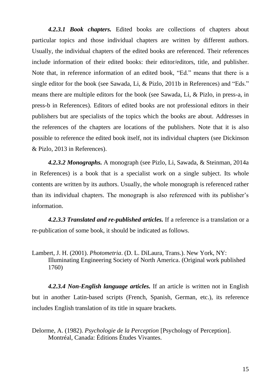*4.2.3.1 Book chapters.* Edited books are collections of chapters about particular topics and those individual chapters are written by different authors. Usually, the individual chapters of the edited books are referenced. Their references include information of their edited books: their editor/editors, title, and publisher. Note that, in reference information of an edited book, "Ed." means that there is a single editor for the book (see Sawada, Li, & Pizlo, 2011b in References) and "Eds." means there are multiple editors for the book (see Sawada, Li, & Pizlo, in press-a, in press-b in References). Editors of edited books are not professional editors in their publishers but are specialists of the topics which the books are about. Addresses in the references of the chapters are locations of the publishers. Note that it is also possible to reference the edited book itself, not its individual chapters (see Dickinson & Pizlo, 2013 in References).

*4.2.3.2 Monographs.* A monograph (see Pizlo, Li, Sawada, & Steinman, 2014a in References) is a book that is a specialist work on a single subject. Its whole contents are written by its authors. Usually, the whole monograph is referenced rather than its individual chapters. The monograph is also referenced with its publisher's information.

*4.2.3.3 Translated and re-published articles.* If a reference is a translation or a re-publication of some book, it should be indicated as follows.

Lambert, J. H. (2001). *Photometria*. (D. L. DiLaura, Trans.). New York, NY: Illuminating Engineering Society of North America. (Original work published 1760)

*4.2.3.4 Non-English language articles.* If an article is written not in English but in another Latin-based scripts (French, Spanish, German, etc.), its reference includes English translation of its title in square brackets.

Delorme, A. (1982). *Psychologie de la Perception* [Psychology of Perception]. Montréal, Canada: Éditions Études Vivantes.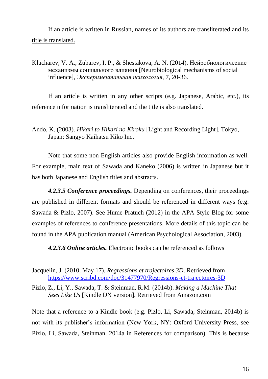If an article is written in Russian, names of its authors are transliterated and its title is translated.

# Klucharev, V. A., Zubarev, I. P., & Shestakova, A. N. (2014). Нейробиологические механизмы социального влияния [Neurobiological mechanisms of social influence], *Экспериментальная психология*, 7, 20-36.

If an article is written in any other scripts (e.g. Japanese, Arabic, etc.), its reference information is transliterated and the title is also translated.

Ando, K. (2003). *Hikari to Hikari no Kiroku* [Light and Recording Light]. Tokyo, Japan: Sangyo Kaihatsu Kiko Inc.

Note that some non-English articles also provide English information as well. For example, main text of Sawada and Kaneko (2006) is written in Japanese but it has both Japanese and English titles and abstracts.

*4.2.3.5 Conference proceedings.* Depending on conferences, their proceedings are published in different formats and should be referenced in different ways (e.g. Sawada & Pizlo, 2007). See Hume-Pratuch (2012) in the APA Style Blog for some examples of references to conference presentations. More details of this topic can be found in the APA publication manual (American Psychological Association, 2003).

*4.2.3.6 Online articles.* Electronic books can be referenced as follows

Jacquelin, J. (2010, May 17). *Regressions et trajectoires 3D*. Retrieved from <https://www.scribd.com/doc/31477970/Regressions-et-trajectoires-3D>

Pizlo, Z., Li, Y., Sawada, T. & Steinman, R.M. (2014b). *Making a Machine That Sees Like Us* [Kindle DX version]. Retrieved from Amazon.com

Note that a reference to a Kindle book (e.g. Pizlo, Li, Sawada, Steinman, 2014b) is not with its publisher's information (New York, NY: Oxford University Press, see Pizlo, Li, Sawada, Steinman, 2014a in References for comparison). This is because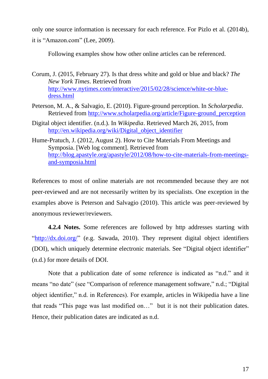only one source information is necessary for each reference. For Pizlo et al. (2014b),

it is "Amazon.com" (Lee, 2009).

Following examples show how other online articles can be referenced.

Corum, J. (2015, February 27). Is that dress white and gold or blue and black? *The New York Times*. Retrieved from [http://www.nytimes.com/interactive/2015/02/28/science/white-or-blue](http://www.nytimes.com/interactive/2015/02/28/science/white-or-blue-dress.html)[dress.html](http://www.nytimes.com/interactive/2015/02/28/science/white-or-blue-dress.html)

- Peterson, M. A., & Salvagio, E. (2010). Figure-ground perception. In *Scholarpedia*. Retrieved from [http://www.scholarpedia.org/article/Figure-ground\\_perception](http://www.scholarpedia.org/article/Figure-ground_perception)
- Digital object identifier. (n.d.). In *Wikipedia*. Retrieved March 26, 2015, from [http://en.wikipedia.org/wiki/Digital\\_object\\_identifier](http://en.wikipedia.org/wiki/Digital_object_identifier)
- Hume-Pratuch, J. (2012, August 2). How to Cite Materials From Meetings and Symposia. [Web log comment]. Retrieved from [http://blog.apastyle.org/apastyle/2012/08/how-to-cite-materials-from-meetings](http://blog.apastyle.org/apastyle/2012/08/how-to-cite-materials-from-meetings-and-symposia.html)[and-symposia.html](http://blog.apastyle.org/apastyle/2012/08/how-to-cite-materials-from-meetings-and-symposia.html)

References to most of online materials are not recommended because they are not peer-reviewed and are not necessarily written by its specialists. One exception in the examples above is Peterson and Salvagio (2010). This article was peer-reviewed by anonymous reviewer/reviewers.

<span id="page-20-0"></span>**4.2.4 Notes.** Some references are followed by http addresses starting with "http://dx.doi.org/" (e.g. Sawada, 2010). They represent digital object identifiers (DOI), which uniquely determine electronic materials. See "Digital object identifier" (n.d.) for more details of DOI.

Note that a publication date of some reference is indicated as "n.d." and it means "no date" (see "Comparison of reference management software," n.d.; "Digital object identifier," n.d. in References). For example, articles in Wikipedia have a line that reads "This page was last modified on…" but it is not their publication dates. Hence, their publication dates are indicated as n.d.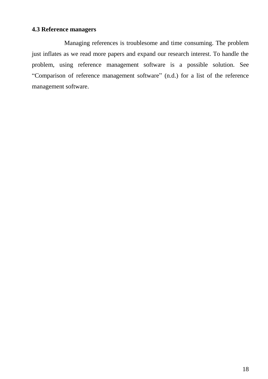# <span id="page-21-0"></span>**4.3 Reference managers**

Managing references is troublesome and time consuming. The problem just inflates as we read more papers and expand our research interest. To handle the problem, using reference management software is a possible solution. See "Comparison of reference management software" (n.d.) for a list of the reference management software.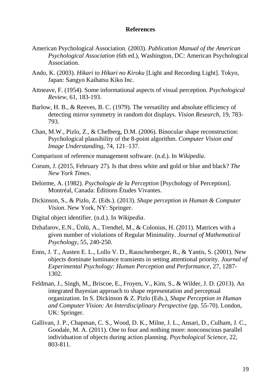#### **References**

- <span id="page-22-0"></span>American Psychological Association. (2003). *Publication Manual of the American Psychological Association* (6th ed.), Washington, DC: American Psychological Association.
- Ando, K. (2003). *Hikari to Hikari no Kiroku* [Light and Recording Light]. Tokyo, Japan: Sangyo Kaihatsu Kiko Inc.
- Attneave, F. (1954). Some informational aspects of visual perception. *Psychological Review*, 61, 183-193.
- Barlow, H. B., & Reeves, B. C. (1979). The versatility and absolute efficiency of detecting mirror symmetry in random dot displays. *Vision Research*, 19, 783- 793.
- Chan, M.W., Pizlo, Z., & Chelberg, D.M. (2006). Binocular shape reconstruction: Psychological plausibility of the 8-point algorithm. *Computer Vision and Image Understanding*, 74, 121–137.
- Comparison of reference management software. (n.d.). In *Wikipedia*.
- Corum, J. (2015, February 27). Is that dress white and gold or blue and black? *The New York Times*.
- Delorme, A. (1982). *Psychologie de la Perception* [Psychology of Perception]. Montréal, Canada: Éditions Études Vivantes.
- Dickinson, S., & Pizlo, Z. (Eds.). (2013). *Shape perception in Human & Computer Vision*. New York, NY: Springer.
- Digital object identifier. (n.d.). In *Wikipedia*.
- Dzhafarov, E.N., Ünlü, A., Trendtel, M., & Colonius, H. (2011). Matrices with a given number of violations of Regular Minimality. *Journal of Mathematical Psychology*, 55, 240-250.
- Enns, J. T., Austen E. L., Lollo V. D., Rauschenberger, R., & Yantis, S. (2001). New objects dominate luminance transients in setting attentional priority. *Journal of Experimental Psychology: Human Perception and Performance*, 27, 1287- 1302.
- Feldman, J., Singh, M., Briscoe, E., Froyen, V., Kim, S., & Wilder, J. D. (2013). An integrated Bayesian approach to shape representation and perceptual organization. In S. Dickinson & Z. Pizlo (Eds.), *Shape Perception in Human and Computer Vision: An Interdisciplinary Perspective* (pp. 55-70). London, UK: Springer.
- Gallivan, J. P., Chapman, C. S., Wood, D. K., Milne, J. L., Ansari, D., Culham, J. C., Goodale, M. A. (2011). One to four and nothing more: nonconscious parallel individuation of objects during action planning. *Psychological Science*, 22, 803-811.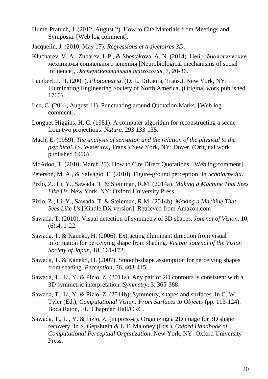- Hume-Pratuch, J. (2012, August 2). How to Cite Materials from Meetings and Symposia. [Web log comment].
- Jacquelin, J. (2010, May 17). *Regressions et trajectoires 3D*.
- Klucharev, V. A., Zubarev, I. P., & Shestakova, A. N. (2014). Нейробиологические механизмы социального влияния [Neurobiological mechanisms of social influence], *Экспериментальная психология*, 7, 20-36.
- Lambert, J. H. (2001). *Photometria*. (D. L. DiLaura, Trans.). New York, NY: Illuminating Engineering Society of North America. (Original work published 1760)
- Lee, C. (2011, August 11). Punctuating around Quotation Marks. [Web log comment].
- Longuet-Higgins, H. C. (1981). A computer algorithm for reconstructing a scene from two projections. *Nature*, 293 133-135.
- Mach, E. (1959). *The analysis of sensation and the relation of the physical to the psychical*. (S. Waterlow, Trans.) New York, NY: Dover. (Original work published 1906)
- McAdoo, T. (2010, March 25). How to Cite Direct Quotations. [Web log comment].
- Peterson, M. A., & Salvagio, E. (2010). Figure-ground perception. In *Scholarpedia*.
- Pizlo, Z., Li, Y., Sawada, T. & Steinman, R.M. (2014a). *Making a Machine That Sees Like Us*. New York, NY: Oxford University Press.
- Pizlo, Z., Li, Y., Sawada, T. & Steinman, R.M. (2014b). *Making a Machine That Sees Like Us* [Kindle DX version]. Retrieved from Amazon.com
- Sawada, T. (2010). Visual detection of symmetry of 3D shapes. *Journal of Vision*, 10, (6):4, 1-22.
- Sawada, T. & Kaneko, H. (2006). Extracting illuminant direction from visual information for perceiving shape from shading. *Vision: Journal of the Vision Society of Japan*, 18, 161-172.
- Sawada, T. & Kaneko, H. (2007). Smooth-shape assumption for perceiving shapes from shading. *Perception*, 36, 403-415.
- Sawada, T., Li, Y. & Pizlo, Z. (2011a). Any pair of 2D contours is consistent with a 3D symmetric interpretation. *Symmetry*. 3, 365-388.
- Sawada, T., Li, Y. & Pizlo, Z. (2011b). Symmetry, shapes and surfaces. In C. W. Tyler (Ed.), *Computational Vision: From Surfaces to Objects* (pp. 113-124). Boca Raton, FL: Chapman Hall/CRC.
- Sawada, T., Li, Y. & Pizlo, Z. (in press-a). Organizing a 2D image for 3D shape recovery. In S. Gepshtein & L.T. Maloney (Eds.), *Oxford Handbook of Computational Perceptual Organization*. New York, NY: Oxford University Press.